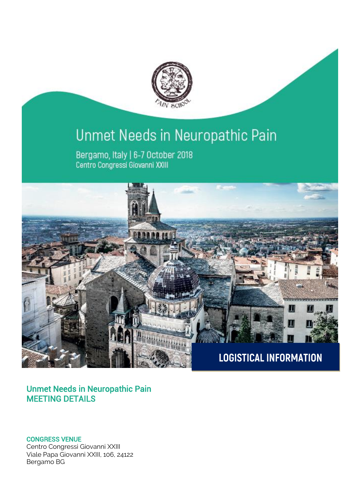

# Unmet Needs in Neuropathic Pain

Bergamo, Italy | 6-7 October 2018 Centro Congressi Giovanni XXIII



# Unmet Needs in Neuropathic Pain MEETING DETAILS

CONGRESS VENUE

Centro Congressi Giovanni XXIII Viale Papa Giovanni XXIII, 106, 24122 Bergamo BG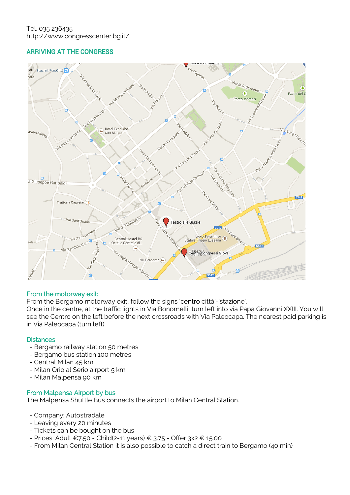# ARRIVING AT THE CONGRESS



# From the motorway exit:

From the Bergamo motorway exit, follow the signs 'centro città'-'stazione'.

Once in the centre, at the traffic lights in Via Bonomelli, turn left into via Papa Giovanni XXIII. You will see the Centro on the left before the next crossroads with Via Paleocapa. The nearest paid parking is in Via Paleocapa (turn left).

# **Distances**

- Bergamo railway station 50 metres
- Bergamo bus station 100 metres
- Central Milan 45 km
- Milan Orio al Serio airport 5 km
- Milan Malpensa 90 km

### From Malpensa Airport by bus

The Malpensa Shuttle Bus connects the airport to Milan Central Station.

- Company: Autostradale
- Leaving every 20 minutes
- Tickets can be bought on the bus
- Prices: Adult €7.50 Child(2-11 years) € 3.75 Offer 3x2 € 15.00
- From Milan Central Station it is also possible to catch a direct train to Bergamo (40 min)